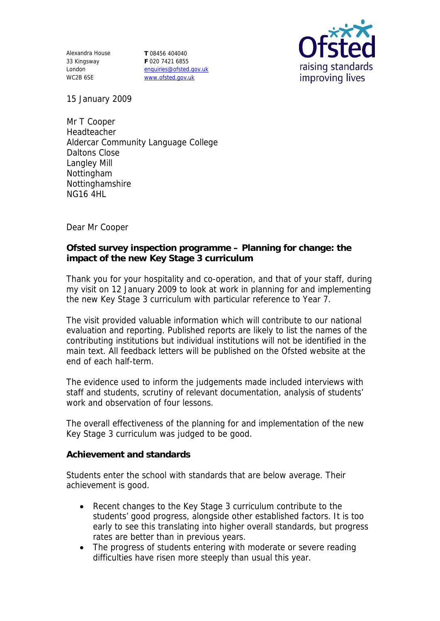Alexandra House 33 Kingsway London WC2B 6SE

**T** 08456 404040 **F** 020 7421 6855 enquiries@ofsted.gov.uk www.ofsted.gov.uk



15 January 2009

Mr T Cooper Headteacher Aldercar Community Language College Daltons Close Langley Mill Nottingham Nottinghamshire NG16 4HL

Dear Mr Cooper

**Ofsted survey inspection programme – Planning for change: the impact of the new Key Stage 3 curriculum**

Thank you for your hospitality and co-operation, and that of your staff, during my visit on 12 January 2009 to look at work in planning for and implementing the new Key Stage 3 curriculum with particular reference to Year 7.

The visit provided valuable information which will contribute to our national evaluation and reporting. Published reports are likely to list the names of the contributing institutions but individual institutions will not be identified in the main text. All feedback letters will be published on the Ofsted website at the end of each half-term.

The evidence used to inform the judgements made included interviews with staff and students, scrutiny of relevant documentation, analysis of students' work and observation of four lessons.

The overall effectiveness of the planning for and implementation of the new Key Stage 3 curriculum was judged to be good.

**Achievement and standards**

Students enter the school with standards that are below average. Their achievement is good.

- Recent changes to the Key Stage 3 curriculum contribute to the students' good progress, alongside other established factors. It is too early to see this translating into higher overall standards, but progress rates are better than in previous years.
- The progress of students entering with moderate or severe reading difficulties have risen more steeply than usual this year.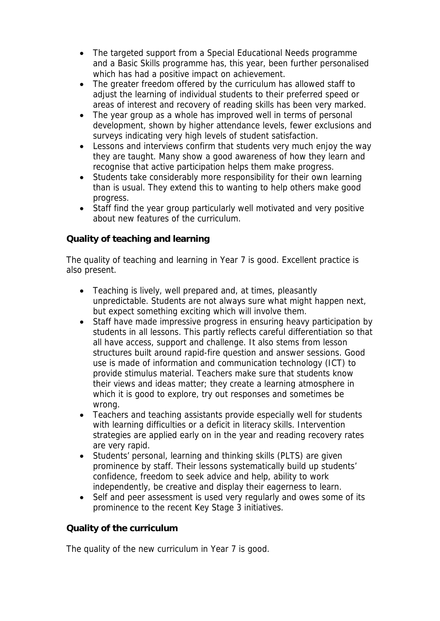- The targeted support from a Special Educational Needs programme and a Basic Skills programme has, this year, been further personalised which has had a positive impact on achievement.
- The greater freedom offered by the curriculum has allowed staff to adjust the learning of individual students to their preferred speed or areas of interest and recovery of reading skills has been very marked.
- The year group as a whole has improved well in terms of personal development, shown by higher attendance levels, fewer exclusions and surveys indicating very high levels of student satisfaction.
- Lessons and interviews confirm that students very much enjoy the way they are taught. Many show a good awareness of how they learn and recognise that active participation helps them make progress.
- Students take considerably more responsibility for their own learning than is usual. They extend this to wanting to help others make good progress.
- Staff find the year group particularly well motivated and very positive about new features of the curriculum.

## **Quality of teaching and learning**

The quality of teaching and learning in Year 7 is good. Excellent practice is also present.

- Teaching is lively, well prepared and, at times, pleasantly unpredictable. Students are not always sure what might happen next, but expect something exciting which will involve them.
- Staff have made impressive progress in ensuring heavy participation by students in all lessons. This partly reflects careful differentiation so that all have access, support and challenge. It also stems from lesson structures built around rapid-fire question and answer sessions. Good use is made of information and communication technology (ICT) to provide stimulus material. Teachers make sure that students know their views and ideas matter; they create a learning atmosphere in which it is good to explore, try out responses and sometimes be wrong.
- Teachers and teaching assistants provide especially well for students with learning difficulties or a deficit in literacy skills. Intervention strategies are applied early on in the year and reading recovery rates are very rapid.
- Students' personal, learning and thinking skills (PLTS) are given prominence by staff. Their lessons systematically build up students' confidence, freedom to seek advice and help, ability to work independently, be creative and display their eagerness to learn.
- Self and peer assessment is used very regularly and owes some of its prominence to the recent Key Stage 3 initiatives.

## **Quality of the curriculum**

The quality of the new curriculum in Year 7 is good.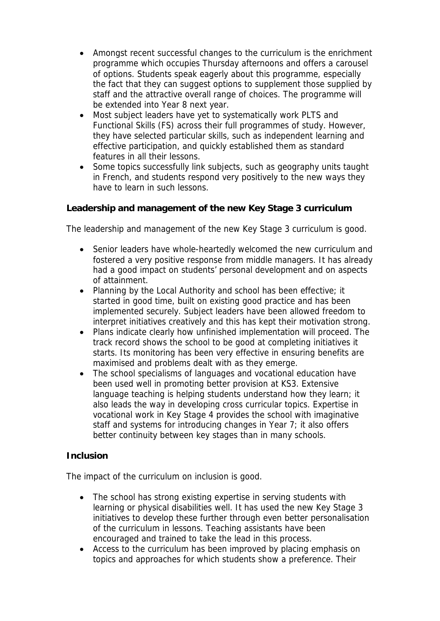- Amongst recent successful changes to the curriculum is the enrichment programme which occupies Thursday afternoons and offers a carousel of options. Students speak eagerly about this programme, especially the fact that they can suggest options to supplement those supplied by staff and the attractive overall range of choices. The programme will be extended into Year 8 next year.
- Most subject leaders have yet to systematically work PLTS and Functional Skills (FS) across their full programmes of study. However, they have selected particular skills, such as independent learning and effective participation, and quickly established them as standard features in all their lessons.
- Some topics successfully link subjects, such as geography units taught in French, and students respond very positively to the new ways they have to learn in such lessons.

**Leadership and management of the new Key Stage 3 curriculum**

The leadership and management of the new Key Stage 3 curriculum is good.

- Senior leaders have whole-heartedly welcomed the new curriculum and fostered a very positive response from middle managers. It has already had a good impact on students' personal development and on aspects of attainment.
- Planning by the Local Authority and school has been effective; it started in good time, built on existing good practice and has been implemented securely. Subject leaders have been allowed freedom to interpret initiatives creatively and this has kept their motivation strong.
- Plans indicate clearly how unfinished implementation will proceed. The track record shows the school to be good at completing initiatives it starts. Its monitoring has been very effective in ensuring benefits are maximised and problems dealt with as they emerge.
- The school specialisms of languages and vocational education have been used well in promoting better provision at KS3. Extensive language teaching is helping students understand how they learn; it also leads the way in developing cross curricular topics. Expertise in vocational work in Key Stage 4 provides the school with imaginative staff and systems for introducing changes in Year 7; it also offers better continuity between key stages than in many schools.

## **Inclusion**

The impact of the curriculum on inclusion is good.

- The school has strong existing expertise in serving students with learning or physical disabilities well. It has used the new Key Stage 3 initiatives to develop these further through even better personalisation of the curriculum in lessons. Teaching assistants have been encouraged and trained to take the lead in this process.
- Access to the curriculum has been improved by placing emphasis on topics and approaches for which students show a preference. Their